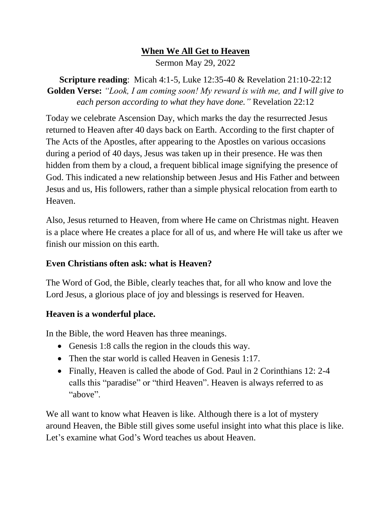### **When We All Get to Heaven**

Sermon May 29, 2022

**Scripture reading**: Micah 4:1-5, Luke 12:35-40 & Revelation 21:10-22:12 **Golden Verse:** *"Look, I am coming soon! My reward is with me, and I will give to each person according to what they have done."* Revelation 22:12

Today we celebrate Ascension Day, which marks the day the resurrected Jesus returned to Heaven after 40 days back on Earth. According to the first chapter of The Acts of the Apostles, after appearing to the Apostles on various occasions during a period of 40 days, Jesus was taken up in their presence. He was then hidden from them by a cloud, a frequent biblical image signifying the presence of God. This indicated a new relationship between Jesus and His Father and between Jesus and us, His followers, rather than a simple physical relocation from earth to Heaven.

Also, Jesus returned to Heaven, from where He came on Christmas night. Heaven is a place where He creates a place for all of us, and where He will take us after we finish our mission on this earth.

## **Even Christians often ask: what is Heaven?**

The Word of God, the Bible, clearly teaches that, for all who know and love the Lord Jesus, a glorious place of joy and blessings is reserved for Heaven.

## **Heaven is a wonderful place.**

In the Bible, the word Heaven has three meanings.

- Genesis 1:8 calls the region in the clouds this way.
- Then the star world is called Heaven in Genesis 1:17.
- Finally, Heaven is called the abode of God. Paul in 2 Corinthians 12: 2-4 calls this "paradise" or "third Heaven". Heaven is always referred to as "above".

We all want to know what Heaven is like. Although there is a lot of mystery around Heaven, the Bible still gives some useful insight into what this place is like. Let's examine what God's Word teaches us about Heaven.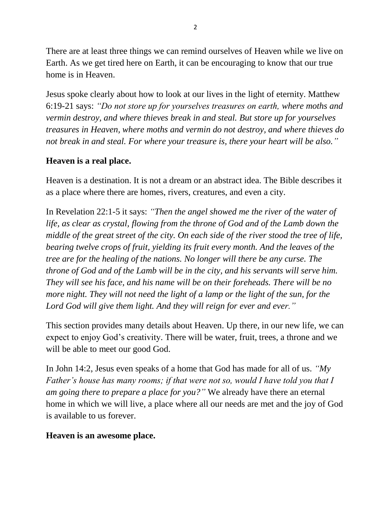There are at least three things we can remind ourselves of Heaven while we live on Earth. As we get tired here on Earth, it can be encouraging to know that our true home is in Heaven.

Jesus spoke clearly about how to look at our lives in the light of eternity. Matthew 6:19-21 says: *"Do not store up for yourselves treasures on earth, where moths and vermin destroy, and where thieves break in and steal. But store up for yourselves treasures in Heaven, where moths and vermin do not destroy, and where thieves do not break in and steal. For where your treasure is, there your heart will be also."*

# **Heaven is a real place.**

Heaven is a destination. It is not a dream or an abstract idea. The Bible describes it as a place where there are homes, rivers, creatures, and even a city.

In Revelation 22:1-5 it says: *"Then the angel showed me the river of the water of life, as clear as crystal, flowing from the throne of God and of the Lamb down the middle of the great street of the city. On each side of the river stood the tree of life, bearing twelve crops of fruit, yielding its fruit every month. And the leaves of the tree are for the healing of the nations. No longer will there be any curse. The throne of God and of the Lamb will be in the city, and his servants will serve him. They will see his face, and his name will be on their foreheads. There will be no more night. They will not need the light of a lamp or the light of the sun, for the Lord God will give them light. And they will reign for ever and ever."*

This section provides many details about Heaven. Up there, in our new life, we can expect to enjoy God's creativity. There will be water, fruit, trees, a throne and we will be able to meet our good God.

In John 14:2, Jesus even speaks of a home that God has made for all of us. *"My Father's house has many rooms; if that were not so, would I have told you that I am going there to prepare a place for you?"* We already have there an eternal home in which we will live, a place where all our needs are met and the joy of God is available to us forever.

## **Heaven is an awesome place.**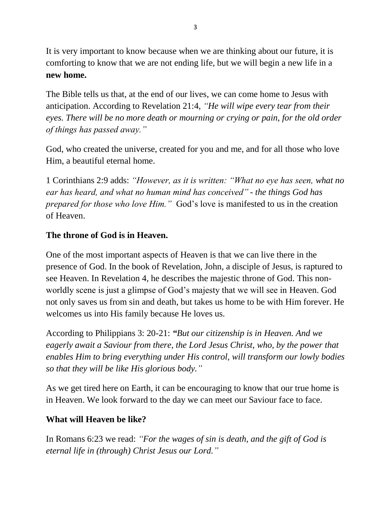It is very important to know because when we are thinking about our future, it is comforting to know that we are not ending life, but we will begin a new life in a **new home.** 

The Bible tells us that, at the end of our lives, we can come home to Jesus with anticipation. According to Revelation 21:4, *"He will wipe every tear from their eyes. There will be no more death or mourning or crying or pain, for the old order of things has passed away."*

God, who created the universe, created for you and me, and for all those who love Him, a beautiful eternal home.

1 Corinthians 2:9 adds: *"However, as it is written: "What no eye has seen, what no ear has heard, and what no human mind has conceived" - the things God has prepared for those who love Him."* God's love is manifested to us in the creation of Heaven.

# **The throne of God is in Heaven.**

One of the most important aspects of Heaven is that we can live there in the presence of God. In the book of Revelation, John, a disciple of Jesus, is raptured to see Heaven. In Revelation 4, he describes the majestic throne of God. This nonworldly scene is just a glimpse of God's majesty that we will see in Heaven. God not only saves us from sin and death, but takes us home to be with Him forever. He welcomes us into His family because He loves us.

According to Philippians 3: 20-21: *"But our citizenship is in Heaven. And we eagerly await a Saviour from there, the Lord Jesus Christ, who, by the power that enables Him to bring everything under His control, will transform our lowly bodies so that they will be like His glorious body."*

As we get tired here on Earth, it can be encouraging to know that our true home is in Heaven. We look forward to the day we can meet our Saviour face to face.

## **What will Heaven be like?**

In Romans 6:23 we read: *"For the wages of sin is death, and the gift of God is eternal life in (through) Christ Jesus our Lord."*